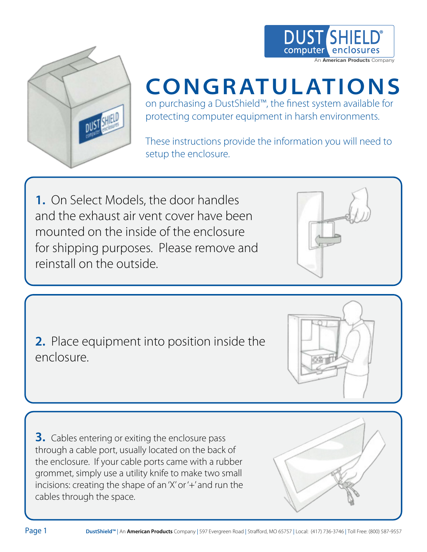



# **CO N GR AT U LAT I O N S**

on purchasing a DustShield™, the finest system available for protecting computer equipment in harsh environments.

These instructions provide the information you will need to setup the enclosure.

**1.** On Select Models, the door handles and the exhaust air vent cover have been mounted on the inside of the enclosure for shipping purposes. Please remove and reinstall on the outside.

**2.** Place equipment into position inside the enclosure.

**3.** Cables entering or exiting the enclosure pass through a cable port, usually located on the back of the enclosure. If your cable ports came with a rubber grommet, simply use a utility knife to make two small incisions: creating the shape of an 'X' or '+' and run the cables through the space.